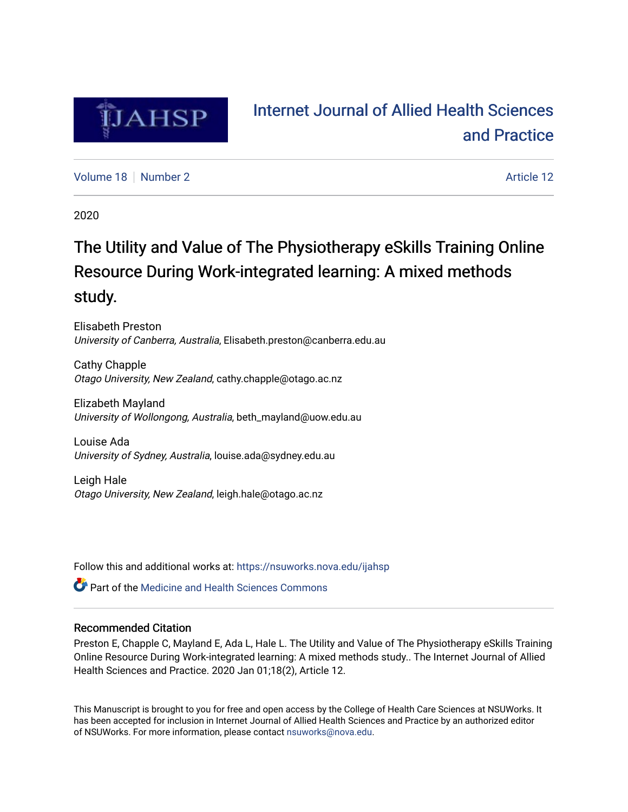

# [Internet Journal of Allied Health Sciences](https://nsuworks.nova.edu/ijahsp)  [and Practice](https://nsuworks.nova.edu/ijahsp)

[Volume 18](https://nsuworks.nova.edu/ijahsp/vol18) [Number 2](https://nsuworks.nova.edu/ijahsp/vol18/iss2) Article 12

2020

# The Utility and Value of The Physiotherapy eSkills Training Online Resource During Work-integrated learning: A mixed methods study.

Elisabeth Preston University of Canberra, Australia, Elisabeth.preston@canberra.edu.au

Cathy Chapple Otago University, New Zealand, cathy.chapple@otago.ac.nz

Elizabeth Mayland University of Wollongong, Australia, beth\_mayland@uow.edu.au

Louise Ada University of Sydney, Australia, louise.ada@sydney.edu.au

Leigh Hale Otago University, New Zealand, leigh.hale@otago.ac.nz

Follow this and additional works at: [https://nsuworks.nova.edu/ijahsp](https://nsuworks.nova.edu/ijahsp?utm_source=nsuworks.nova.edu%2Fijahsp%2Fvol18%2Fiss2%2F12&utm_medium=PDF&utm_campaign=PDFCoverPages) 

**C** Part of the Medicine and Health Sciences Commons

## Recommended Citation

Preston E, Chapple C, Mayland E, Ada L, Hale L. The Utility and Value of The Physiotherapy eSkills Training Online Resource During Work-integrated learning: A mixed methods study.. The Internet Journal of Allied Health Sciences and Practice. 2020 Jan 01;18(2), Article 12.

This Manuscript is brought to you for free and open access by the College of Health Care Sciences at NSUWorks. It has been accepted for inclusion in Internet Journal of Allied Health Sciences and Practice by an authorized editor of NSUWorks. For more information, please contact [nsuworks@nova.edu.](mailto:nsuworks@nova.edu)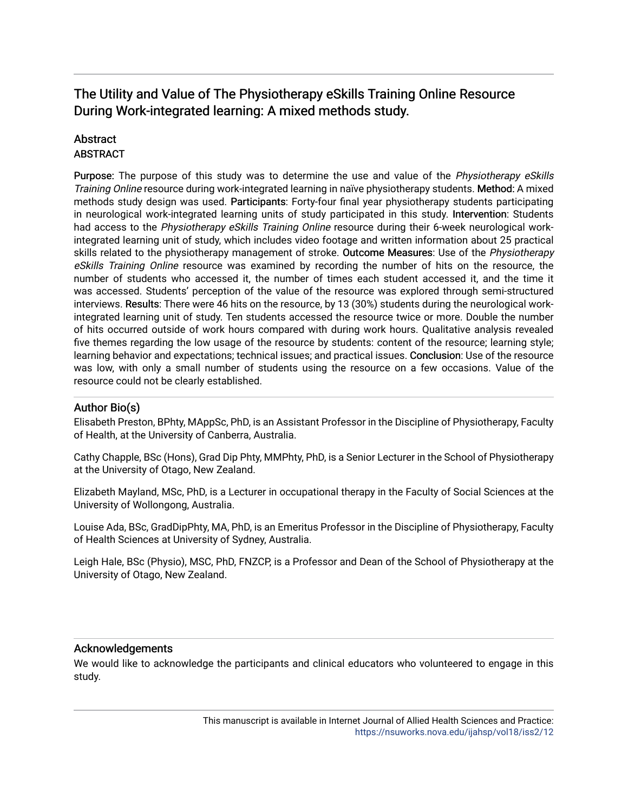## The Utility and Value of The Physiotherapy eSkills Training Online Resource During Work-integrated learning: A mixed methods study.

## **Abstract**

## **ABSTRACT**

Purpose: The purpose of this study was to determine the use and value of the Physiotherapy eSkills Training Online resource during work-integrated learning in naïve physiotherapy students. Method: A mixed methods study design was used. Participants: Forty-four final year physiotherapy students participating in neurological work-integrated learning units of study participated in this study. Intervention: Students had access to the Physiotherapy eSkills Training Online resource during their 6-week neurological workintegrated learning unit of study, which includes video footage and written information about 25 practical skills related to the physiotherapy management of stroke. Outcome Measures: Use of the Physiotherapy eSkills Training Online resource was examined by recording the number of hits on the resource, the number of students who accessed it, the number of times each student accessed it, and the time it was accessed. Students' perception of the value of the resource was explored through semi-structured interviews. Results: There were 46 hits on the resource, by 13 (30%) students during the neurological workintegrated learning unit of study. Ten students accessed the resource twice or more. Double the number of hits occurred outside of work hours compared with during work hours. Qualitative analysis revealed five themes regarding the low usage of the resource by students: content of the resource; learning style; learning behavior and expectations; technical issues; and practical issues. Conclusion: Use of the resource was low, with only a small number of students using the resource on a few occasions. Value of the resource could not be clearly established.

## Author Bio(s)

Elisabeth Preston, BPhty, MAppSc, PhD, is an Assistant Professor in the Discipline of Physiotherapy, Faculty of Health, at the University of Canberra, Australia.

Cathy Chapple, BSc (Hons), Grad Dip Phty, MMPhty, PhD, is a Senior Lecturer in the School of Physiotherapy at the University of Otago, New Zealand.

Elizabeth Mayland, MSc, PhD, is a Lecturer in occupational therapy in the Faculty of Social Sciences at the University of Wollongong, Australia.

Louise Ada, BSc, GradDipPhty, MA, PhD, is an Emeritus Professor in the Discipline of Physiotherapy, Faculty of Health Sciences at University of Sydney, Australia.

Leigh Hale, BSc (Physio), MSC, PhD, FNZCP, is a Professor and Dean of the School of Physiotherapy at the University of Otago, New Zealand.

## Acknowledgements

We would like to acknowledge the participants and clinical educators who volunteered to engage in this study.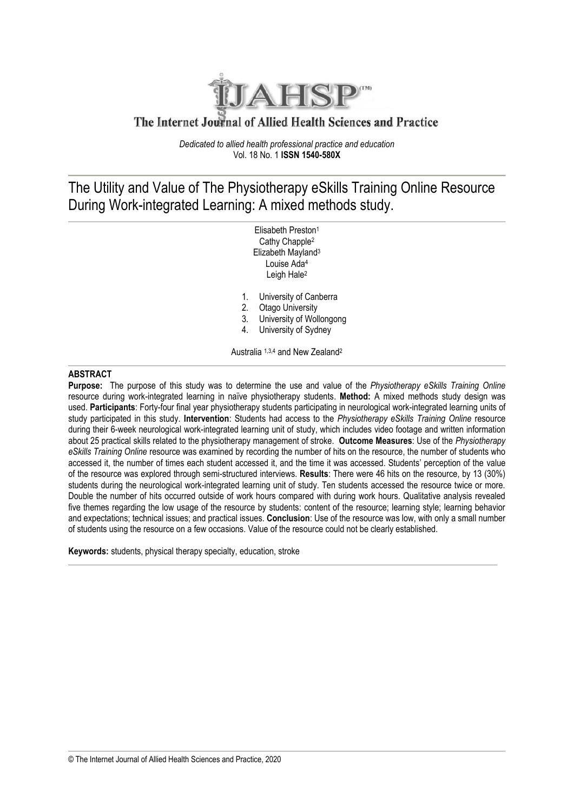

## The Internet Journal of Allied Health Sciences and Practice

*Dedicated to allied health professional practice and education* Vol. 18 No. 1 **ISSN 1540-580X**

## The Utility and Value of The Physiotherapy eSkills Training Online Resource During Work-integrated Learning: A mixed methods study.

Elisabeth Preston<sup>1</sup> Cathy Chapple<sup>2</sup> Elizabeth Mayland 3 Louise Ada<sup>4</sup> Leigh Hale<sup>2</sup>

- 1. University of Canberra<br>2. Otago University
- **Otago University**
- 3. University of Wollongong
- 4. University of Sydney

Australia 1,3,4 and New Zealand<sup>2</sup>

### **ABSTRACT**

**Purpose:** The purpose of this study was to determine the use and value of the *Physiotherapy eSkills Training Online* resource during work-integrated learning in naïve physiotherapy students. **Method:** A mixed methods study design was used. **Participants**: Forty-four final year physiotherapy students participating in neurological work-integrated learning units of study participated in this study. **Intervention**: Students had access to the *Physiotherapy eSkills Training Online* resource during their 6-week neurological work-integrated learning unit of study, which includes video footage and written information about 25 practical skills related to the physiotherapy management of stroke. **Outcome Measures**: Use of the *Physiotherapy eSkills Training Online* resource was examined by recording the number of hits on the resource, the number of students who accessed it, the number of times each student accessed it, and the time it was accessed. Students' perception of the value of the resource was explored through semi-structured interviews. **Results**: There were 46 hits on the resource, by 13 (30%) students during the neurological work-integrated learning unit of study. Ten students accessed the resource twice or more. Double the number of hits occurred outside of work hours compared with during work hours. Qualitative analysis revealed five themes regarding the low usage of the resource by students: content of the resource; learning style; learning behavior and expectations; technical issues; and practical issues. **Conclusion**: Use of the resource was low, with only a small number of students using the resource on a few occasions. Value of the resource could not be clearly established.

**Keywords:** students, physical therapy specialty, education, stroke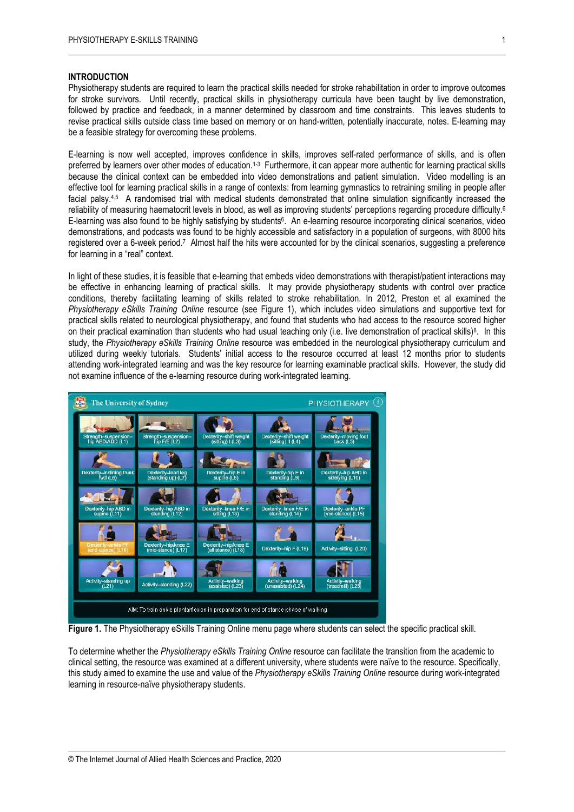#### **INTRODUCTION**

Physiotherapy students are required to learn the practical skills needed for stroke rehabilitation in order to improve outcomes for stroke survivors. Until recently, practical skills in physiotherapy curricula have been taught by live demonstration, followed by practice and feedback, in a manner determined by classroom and time constraints. This leaves students to revise practical skills outside class time based on memory or on hand-written, potentially inaccurate, notes. E-learning may be a feasible strategy for overcoming these problems.

E-learning is now well accepted, improves confidence in skills, improves self-rated performance of skills, and is often preferred by learners over other modes of education.1-3 Furthermore, it can appear more authentic for learning practical skills because the clinical context can be embedded into video demonstrations and patient simulation. Video modelling is an effective tool for learning practical skills in a range of contexts: from learning gymnastics to retraining smiling in people after facial palsy.<sup>4,5</sup> A randomised trial with medical students demonstrated that online simulation significantly increased the reliability of measuring haematocrit levels in blood, as well as improving students' perceptions regarding procedure difficulty. 6 E-learning was also found to be highly satisfying by students<sup>6</sup>. An e-learning resource incorporating clinical scenarios, video demonstrations, and podcasts was found to be highly accessible and satisfactory in a population of surgeons, with 8000 hits registered over a 6-week period.<sup>7</sup> Almost half the hits were accounted for by the clinical scenarios, suggesting a preference for learning in a "real" context.

In light of these studies, it is feasible that e-learning that embeds video demonstrations with therapist/patient interactions may be effective in enhancing learning of practical skills. It may provide physiotherapy students with control over practice conditions, thereby facilitating learning of skills related to stroke rehabilitation. In 2012, Preston et al examined the *Physiotherapy eSkills Training Online* resource (see Figure 1), which includes video simulations and supportive text for practical skills related to neurological physiotherapy, and found that students who had access to the resource scored higher on their practical examination than students who had usual teaching only (i.e. live demonstration of practical skills)<sup>8</sup>. In this study, the *Physiotherapy eSkills Training Online* resource was embedded in the neurological physiotherapy curriculum and utilized during weekly tutorials. Students' initial access to the resource occurred at least 12 months prior to students attending work-integrated learning and was the key resource for learning examinable practical skills. However, the study did not examine influence of the e-learning resource during work-integrated learning.



**Figure 1.** The Physiotherapy eSkills Training Online menu page where students can select the specific practical skill.

To determine whether the *Physiotherapy eSkills Training Online* resource can facilitate the transition from the academic to clinical setting, the resource was examined at a different university, where students were naïve to the resource. Specifically, this study aimed to examine the use and value of the *Physiotherapy eSkills Training Online* resource during work-integrated learning in resource-naïve physiotherapy students.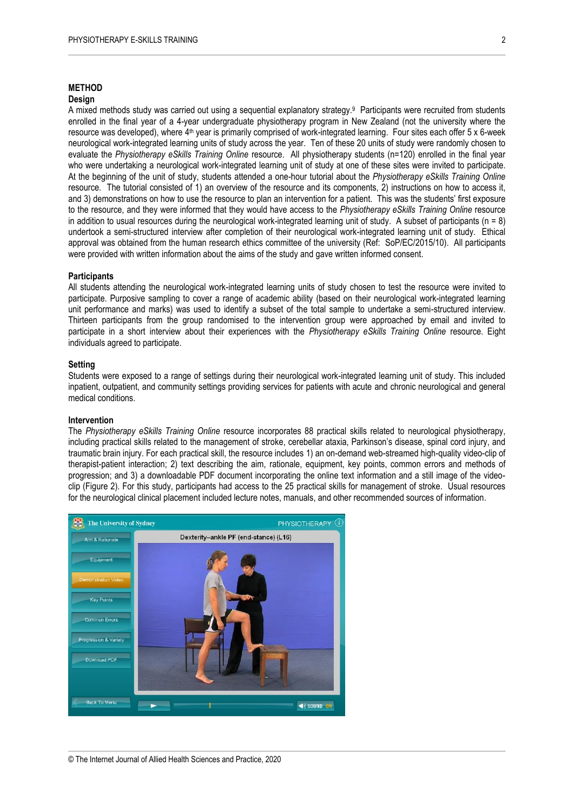#### **METHOD**

#### **Design**

A mixed methods study was carried out using a sequential explanatory strategy. 9 Participants were recruited from students enrolled in the final year of a 4-year undergraduate physiotherapy program in New Zealand (not the university where the resource was developed), where 4<sup>th</sup> year is primarily comprised of work-integrated learning. Four sites each offer 5 x 6-week neurological work-integrated learning units of study across the year. Ten of these 20 units of study were randomly chosen to evaluate the *Physiotherapy eSkills Training Online* resource. All physiotherapy students (n=120) enrolled in the final year who were undertaking a neurological work-integrated learning unit of study at one of these sites were invited to participate. At the beginning of the unit of study, students attended a one-hour tutorial about the *Physiotherapy eSkills Training Online*  resource. The tutorial consisted of 1) an overview of the resource and its components, 2) instructions on how to access it, and 3) demonstrations on how to use the resource to plan an intervention for a patient. This was the students' first exposure to the resource, and they were informed that they would have access to the *Physiotherapy eSkills Training Online* resource in addition to usual resources during the neurological work-integrated learning unit of study. A subset of participants ( $n = 8$ ) undertook a semi-structured interview after completion of their neurological work-integrated learning unit of study. Ethical approval was obtained from the human research ethics committee of the university (Ref: SoP/EC/2015/10). All participants were provided with written information about the aims of the study and gave written informed consent.

#### **Participants**

All students attending the neurological work-integrated learning units of study chosen to test the resource were invited to participate. Purposive sampling to cover a range of academic ability (based on their neurological work-integrated learning unit performance and marks) was used to identify a subset of the total sample to undertake a semi-structured interview. Thirteen participants from the group randomised to the intervention group were approached by email and invited to participate in a short interview about their experiences with the *Physiotherapy eSkills Training Online* resource. Eight individuals agreed to participate.

#### **Setting**

Students were exposed to a range of settings during their neurological work-integrated learning unit of study. This included inpatient, outpatient, and community settings providing services for patients with acute and chronic neurological and general medical conditions.

#### **Intervention**

The *Physiotherapy eSkills Training Online* resource incorporates 88 practical skills related to neurological physiotherapy, including practical skills related to the management of stroke, cerebellar ataxia, Parkinson's disease, spinal cord injury, and traumatic brain injury. For each practical skill, the resource includes 1) an on-demand web-streamed high-quality video-clip of therapist-patient interaction; 2) text describing the aim, rationale, equipment, key points, common errors and methods of progression; and 3) a downloadable PDF document incorporating the online text information and a still image of the videoclip (Figure 2). For this study, participants had access to the 25 practical skills for management of stroke. Usual resources for the neurological clinical placement included lecture notes, manuals, and other recommended sources of information.

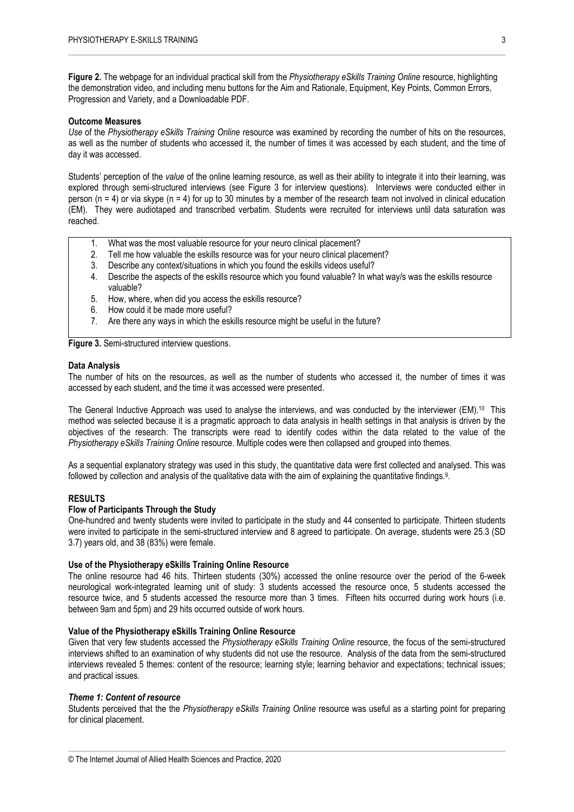**Figure 2.** The webpage for an individual practical skill from the *Physiotherapy eSkills Training Online* resource, highlighting the demonstration video, and including menu buttons for the Aim and Rationale, Equipment, Key Points, Common Errors, Progression and Variety, and a Downloadable PDF.

#### **Outcome Measures**

*Use* of the *Physiotherapy eSkills Training Online* resource was examined by recording the number of hits on the resources, as well as the number of students who accessed it, the number of times it was accessed by each student, and the time of day it was accessed.

Students' perception of the *value* of the online learning resource, as well as their ability to integrate it into their learning, was explored through semi-structured interviews (see Figure 3 for interview questions). Interviews were conducted either in person ( $n = 4$ ) or via skype ( $n = 4$ ) for up to 30 minutes by a member of the research team not involved in clinical education (EM). They were audiotaped and transcribed verbatim. Students were recruited for interviews until data saturation was reached.

- 1. What was the most valuable resource for your neuro clinical placement?
- 2. Tell me how valuable the eskills resource was for your neuro clinical placement?
- 3. Describe any context/situations in which you found the eskills videos useful?
- 4. Describe the aspects of the eskills resource which you found valuable? In what way/s was the eskills resource valuable?
- 5. How, where, when did you access the eskills resource?
- 6. How could it be made more useful?
- 7. Are there any ways in which the eskills resource might be useful in the future?

**Figure 3.** Semi-structured interview questions.

#### **Data Analysis**

The number of hits on the resources, as well as the number of students who accessed it, the number of times it was accessed by each student, and the time it was accessed were presented.

The General Inductive Approach was used to analyse the interviews, and was conducted by the interviewer (EM).<sup>10</sup> This method was selected because it is a pragmatic approach to data analysis in health settings in that analysis is driven by the objectives of the research. The transcripts were read to identify codes within the data related to the value of the *Physiotherapy eSkills Training Online* resource. Multiple codes were then collapsed and grouped into themes.

As a sequential explanatory strategy was used in this study, the quantitative data were first collected and analysed. This was followed by collection and analysis of the qualitative data with the aim of explaining the quantitative findings. 9 .

#### **RESULTS**

#### **Flow of Participants Through the Study**

One-hundred and twenty students were invited to participate in the study and 44 consented to participate. Thirteen students were invited to participate in the semi-structured interview and 8 agreed to participate. On average, students were 25.3 (SD 3.7) years old, and 38 (83%) were female.

#### **Use of the Physiotherapy eSkills Training Online Resource**

The online resource had 46 hits. Thirteen students (30%) accessed the online resource over the period of the 6-week neurological work-integrated learning unit of study: 3 students accessed the resource once, 5 students accessed the resource twice, and 5 students accessed the resource more than 3 times. Fifteen hits occurred during work hours (i.e. between 9am and 5pm) and 29 hits occurred outside of work hours.

#### **Value of the Physiotherapy eSkills Training Online Resource**

Given that very few students accessed the *Physiotherapy eSkills Training Online* resource, the focus of the semi-structured interviews shifted to an examination of why students did not use the resource. Analysis of the data from the semi-structured interviews revealed 5 themes: content of the resource; learning style; learning behavior and expectations; technical issues; and practical issues.

#### *Theme 1: Content of resource*

Students perceived that the the *Physiotherapy eSkills Training Online* resource was useful as a starting point for preparing for clinical placement.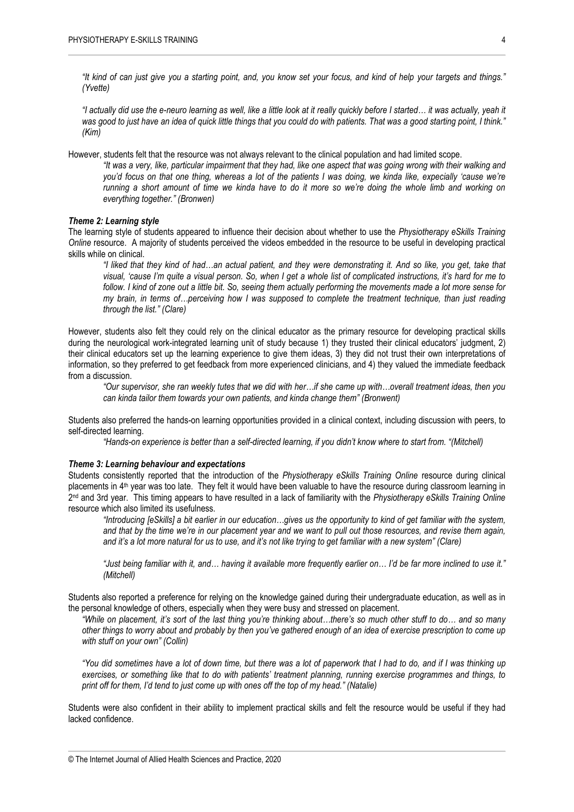*"It kind of can just give you a starting point, and, you know set your focus, and kind of help your targets and things." (Yvette)*

*"I actually did use the e-neuro learning as well, like a little look at it really quickly before I started… it was actually, yeah it was good to just have an idea of quick little things that you could do with patients. That was a good starting point, I think." (Kim)*

However, students felt that the resource was not always relevant to the clinical population and had limited scope.

*"It was a very, like, particular impairment that they had, like one aspect that was going wrong with their walking and you'd focus on that one thing, whereas a lot of the patients I was doing, we kinda like, expecially 'cause we're running a short amount of time we kinda have to do it more so we're doing the whole limb and working on everything together." (Bronwen)* 

#### *Theme 2: Learning style*

The learning style of students appeared to influence their decision about whether to use the *Physiotherapy eSkills Training Online* resource. A majority of students perceived the videos embedded in the resource to be useful in developing practical skills while on clinical.

*"I liked that they kind of had…an actual patient, and they were demonstrating it. And so like, you get, take that visual, 'cause I'm quite a visual person. So, when I get a whole list of complicated instructions, it's hard for me to follow. I kind of zone out a little bit. So, seeing them actually performing the movements made a lot more sense for my brain, in terms of…perceiving how I was supposed to complete the treatment technique, than just reading through the list." (Clare)*

However, students also felt they could rely on the clinical educator as the primary resource for developing practical skills during the neurological work-integrated learning unit of study because 1) they trusted their clinical educators' judgment, 2) their clinical educators set up the learning experience to give them ideas, 3) they did not trust their own interpretations of information, so they preferred to get feedback from more experienced clinicians, and 4) they valued the immediate feedback from a discussion.

*"Our supervisor, she ran weekly tutes that we did with her…if she came up with…overall treatment ideas, then you can kinda tailor them towards your own patients, and kinda change them" (Bronwent)*

Students also preferred the hands-on learning opportunities provided in a clinical context, including discussion with peers, to self-directed learning.

*"Hands-on experience is better than a self-directed learning, if you didn't know where to start from. "(Mitchell)*

#### *Theme 3: Learning behaviour and expectations*

Students consistently reported that the introduction of the *Physiotherapy eSkills Training Online* resource during clinical placements in  $4<sup>th</sup>$  year was too late. They felt it would have been valuable to have the resource during classroom learning in 2 nd and 3rd year. This timing appears to have resulted in a lack of familiarity with the *Physiotherapy eSkills Training Online* resource which also limited its usefulness.

*"Introducing [eSkills] a bit earlier in our education…gives us the opportunity to kind of get familiar with the system, and that by the time we're in our placement year and we want to pull out those resources, and revise them again, and it's a lot more natural for us to use, and it's not like trying to get familiar with a new system" (Clare)*

*"Just being familiar with it, and… having it available more frequently earlier on… I'd be far more inclined to use it." (Mitchell)*

Students also reported a preference for relying on the knowledge gained during their undergraduate education, as well as in the personal knowledge of others, especially when they were busy and stressed on placement.

*"While on placement, it's sort of the last thing you're thinking about…there's so much other stuff to do… and so many other things to worry about and probably by then you've gathered enough of an idea of exercise prescription to come up with stuff on your own" (Collin)*

*"You did sometimes have a lot of down time, but there was a lot of paperwork that I had to do, and if I was thinking up exercises, or something like that to do with patients' treatment planning, running exercise programmes and things, to print off for them, I'd tend to just come up with ones off the top of my head." (Natalie)* 

Students were also confident in their ability to implement practical skills and felt the resource would be useful if they had lacked confidence.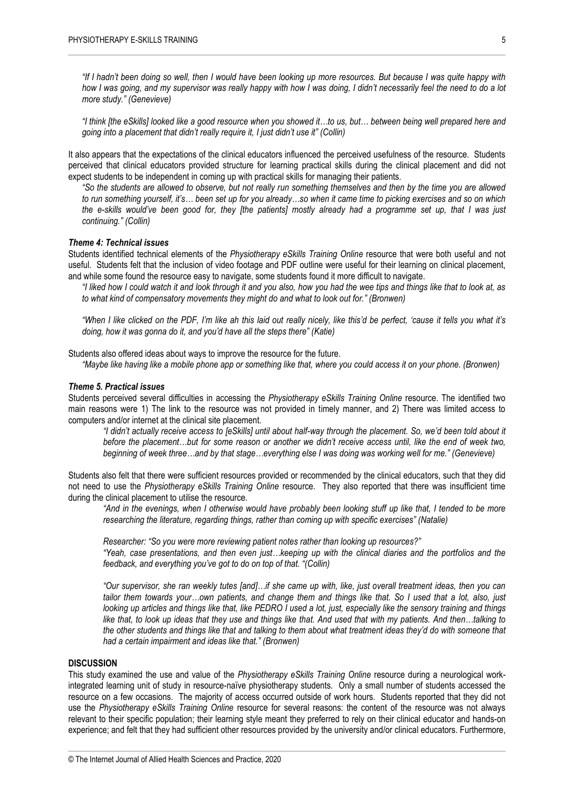*"If I hadn't been doing so well, then I would have been looking up more resources. But because I was quite happy with how I was going, and my supervisor was really happy with how I was doing, I didn't necessarily feel the need to do a lot more study." (Genevieve)*

*"I think [the eSkills] looked like a good resource when you showed it…to us, but… between being well prepared here and going into a placement that didn't really require it, I just didn't use it" (Collin)*

It also appears that the expectations of the clinical educators influenced the perceived usefulness of the resource. Students perceived that clinical educators provided structure for learning practical skills during the clinical placement and did not expect students to be independent in coming up with practical skills for managing their patients.

*"So the students are allowed to observe, but not really run something themselves and then by the time you are allowed to run something yourself, it's… been set up for you already…so when it came time to picking exercises and so on which the e-skills would've been good for, they [the patients] mostly already had a programme set up, that I was just continuing." (Collin)*

#### *Theme 4: Technical issues*

Students identified technical elements of the *Physiotherapy eSkills Training Online* resource that were both useful and not useful. Students felt that the inclusion of video footage and PDF outline were useful for their learning on clinical placement, and while some found the resource easy to navigate, some students found it more difficult to navigate.

*"I liked how I could watch it and look through it and you also, how you had the wee tips and things like that to look at, as to what kind of compensatory movements they might do and what to look out for." (Bronwen)*

*"When I like clicked on the PDF, I'm like ah this laid out really nicely, like this'd be perfect, 'cause it tells you what it's doing, how it was gonna do it, and you'd have all the steps there" (Katie)*

Students also offered ideas about ways to improve the resource for the future.

*"Maybe like having like a mobile phone app or something like that, where you could access it on your phone. (Bronwen)*

#### *Theme 5. Practical issues*

Students perceived several difficulties in accessing the *Physiotherapy eSkills Training Online* resource. The identified two main reasons were 1) The link to the resource was not provided in timely manner, and 2) There was limited access to computers and/or internet at the clinical site placement.

*"I didn't actually receive access to [eSkills] until about half-way through the placement. So, we'd been told about it before the placement…but for some reason or another we didn't receive access until, like the end of week two, beginning of week three…and by that stage…everything else I was doing was working well for me." (Genevieve)*

Students also felt that there were sufficient resources provided or recommended by the clinical educators, such that they did not need to use the *Physiotherapy eSkills Training Online* resource. They also reported that there was insufficient time during the clinical placement to utilise the resource.

*"And in the evenings, when I otherwise would have probably been looking stuff up like that, I tended to be more researching the literature, regarding things, rather than coming up with specific exercises" (Natalie)*

*Researcher: "So you were more reviewing patient notes rather than looking up resources?" "Yeah, case presentations, and then even just…keeping up with the clinical diaries and the portfolios and the feedback, and everything you've got to do on top of that. "(Collin)*

*"Our supervisor, she ran weekly tutes [and]…if she came up with, like, just overall treatment ideas, then you can tailor them towards your…own patients, and change them and things like that. So I used that a lot, also, just looking up articles and things like that, like PEDRO I used a lot, just, especially like the sensory training and things like that, to look up ideas that they use and things like that. And used that with my patients. And then…talking to the other students and things like that and talking to them about what treatment ideas they'd do with someone that had a certain impairment and ideas like that." (Bronwen)*

#### **DISCUSSION**

This study examined the use and value of the *Physiotherapy eSkills Training Online* resource during a neurological workintegrated learning unit of study in resource-naïve physiotherapy students. Only a small number of students accessed the resource on a few occasions. The majority of access occurred outside of work hours. Students reported that they did not use the *Physiotherapy eSkills Training Online* resource for several reasons: the content of the resource was not always relevant to their specific population; their learning style meant they preferred to rely on their clinical educator and hands-on experience; and felt that they had sufficient other resources provided by the university and/or clinical educators. Furthermore,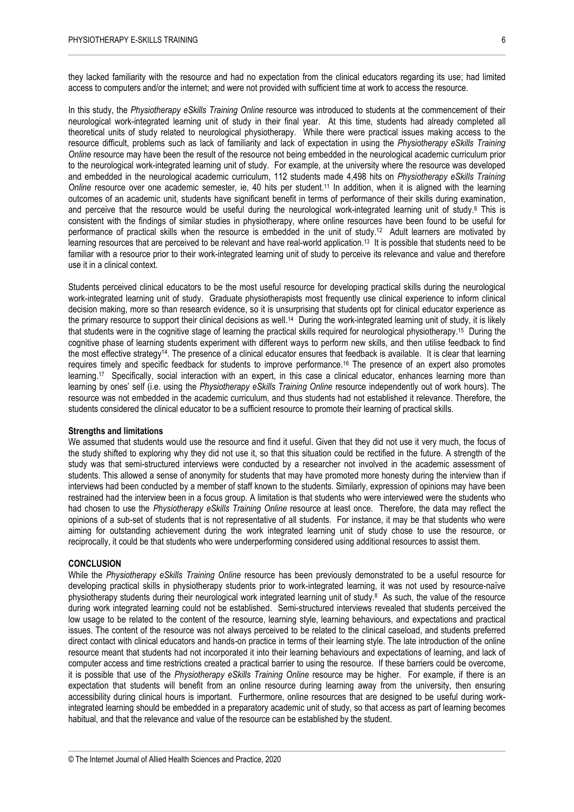they lacked familiarity with the resource and had no expectation from the clinical educators regarding its use; had limited access to computers and/or the internet; and were not provided with sufficient time at work to access the resource.

In this study, the *Physiotherapy eSkills Training Online* resource was introduced to students at the commencement of their neurological work-integrated learning unit of study in their final year. At this time, students had already completed all theoretical units of study related to neurological physiotherapy. While there were practical issues making access to the resource difficult, problems such as lack of familiarity and lack of expectation in using the *Physiotherapy eSkills Training Online* resource may have been the result of the resource not being embedded in the neurological academic curriculum prior to the neurological work-integrated learning unit of study. For example, at the university where the resource was developed and embedded in the neurological academic curriculum, 112 students made 4,498 hits on *Physiotherapy eSkills Training Online* resource over one academic semester, ie, 40 hits per student. <sup>11</sup> In addition, when it is aligned with the learning outcomes of an academic unit, students have significant benefit in terms of performance of their skills during examination, and perceive that the resource would be useful during the neurological work-integrated learning unit of study. <sup>8</sup> This is consistent with the findings of similar studies in physiotherapy, where online resources have been found to be useful for performance of practical skills when the resource is embedded in the unit of study. 12 Adult learners are motivated by learning resources that are perceived to be relevant and have real-world application. 13 It is possible that students need to be familiar with a resource prior to their work-integrated learning unit of study to perceive its relevance and value and therefore use it in a clinical context.

Students perceived clinical educators to be the most useful resource for developing practical skills during the neurological work-integrated learning unit of study. Graduate physiotherapists most frequently use clinical experience to inform clinical decision making, more so than research evidence, so it is unsurprising that students opt for clinical educator experience as the primary resource to support their clinical decisions as well.<sup>14</sup> During the work-integrated learning unit of study, it is likely that students were in the cognitive stage of learning the practical skills required for neurological physiotherapy. 15 During the cognitive phase of learning students experiment with different ways to perform new skills, and then utilise feedback to find the most effective strategy14. The presence of a clinical educator ensures that feedback is available. It is clear that learning requires timely and specific feedback for students to improve performance. <sup>16</sup> The presence of an expert also promotes learning. 17 Specifically, social interaction with an expert, in this case a clinical educator, enhances learning more than learning by ones' self (i.e. using the *Physiotherapy eSkills Training Online* resource independently out of work hours). The resource was not embedded in the academic curriculum, and thus students had not established it relevance. Therefore, the students considered the clinical educator to be a sufficient resource to promote their learning of practical skills.

#### **Strengths and limitations**

We assumed that students would use the resource and find it useful. Given that they did not use it very much, the focus of the study shifted to exploring why they did not use it, so that this situation could be rectified in the future. A strength of the study was that semi-structured interviews were conducted by a researcher not involved in the academic assessment of students. This allowed a sense of anonymity for students that may have promoted more honesty during the interview than if interviews had been conducted by a member of staff known to the students. Similarly, expression of opinions may have been restrained had the interview been in a focus group. A limitation is that students who were interviewed were the students who had chosen to use the *Physiotherapy eSkills Training Online* resource at least once. Therefore, the data may reflect the opinions of a sub-set of students that is not representative of all students. For instance, it may be that students who were aiming for outstanding achievement during the work integrated learning unit of study chose to use the resource, or reciprocally, it could be that students who were underperforming considered using additional resources to assist them.

#### **CONCLUSION**

While the *Physiotherapy eSkills Training Online* resource has been previously demonstrated to be a useful resource for developing practical skills in physiotherapy students prior to work-integrated learning, it was not used by resource-naïve physiotherapy students during their neurological work integrated learning unit of study.<sup>8</sup> As such, the value of the resource during work integrated learning could not be established. Semi-structured interviews revealed that students perceived the low usage to be related to the content of the resource, learning style, learning behaviours, and expectations and practical issues. The content of the resource was not always perceived to be related to the clinical caseload, and students preferred direct contact with clinical educators and hands-on practice in terms of their learning style. The late introduction of the online resource meant that students had not incorporated it into their learning behaviours and expectations of learning, and lack of computer access and time restrictions created a practical barrier to using the resource. If these barriers could be overcome, it is possible that use of the *Physiotherapy eSkills Training Online* resource may be higher. For example, if there is an expectation that students will benefit from an online resource during learning away from the university, then ensuring accessibility during clinical hours is important. Furthermore, online resources that are designed to be useful during workintegrated learning should be embedded in a preparatory academic unit of study, so that access as part of learning becomes habitual, and that the relevance and value of the resource can be established by the student.